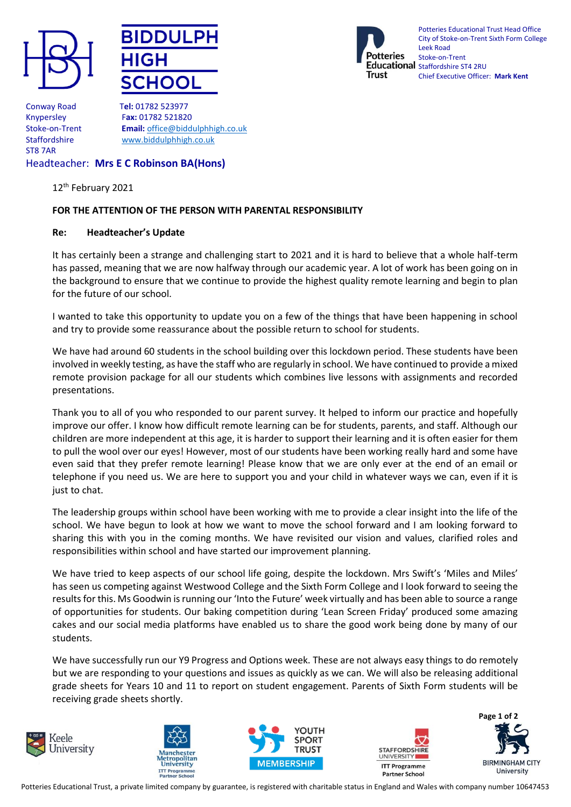





Potteries Educational Trust Head Office City of Stoke-on-Trent Sixth Form College Leek Road Stoke-on-Trent Educational Staffordshire ST4 2RU Chief Executive Officer: **Mark Kent**

Conway Road T**el:** 01782 523977 ST8 7AR

Knypersley F**ax:** 01782 521820 Stoke-on-Trent **Email:** [office@biddulphhigh.co.uk](mailto:office@biddulphhigh.co.uk) Staffordshire www.biddulphhigh.co.uk

## Headteacher: **Mrs E C Robinson BA(Hons)**

12th February 2021

## **FOR THE ATTENTION OF THE PERSON WITH PARENTAL RESPONSIBILITY**

## **Re: Headteacher's Update**

It has certainly been a strange and challenging start to 2021 and it is hard to believe that a whole half-term has passed, meaning that we are now halfway through our academic year. A lot of work has been going on in the background to ensure that we continue to provide the highest quality remote learning and begin to plan for the future of our school.

I wanted to take this opportunity to update you on a few of the things that have been happening in school and try to provide some reassurance about the possible return to school for students.

We have had around 60 students in the school building over this lockdown period. These students have been involved in weekly testing, as have the staff who are regularly in school. We have continued to provide a mixed remote provision package for all our students which combines live lessons with assignments and recorded presentations.

Thank you to all of you who responded to our parent survey. It helped to inform our practice and hopefully improve our offer. I know how difficult remote learning can be for students, parents, and staff. Although our children are more independent at this age, it is harder to support their learning and it is often easier for them to pull the wool over our eyes! However, most of our students have been working really hard and some have even said that they prefer remote learning! Please know that we are only ever at the end of an email or telephone if you need us. We are here to support you and your child in whatever ways we can, even if it is just to chat.

The leadership groups within school have been working with me to provide a clear insight into the life of the school. We have begun to look at how we want to move the school forward and I am looking forward to sharing this with you in the coming months. We have revisited our vision and values, clarified roles and responsibilities within school and have started our improvement planning.

We have tried to keep aspects of our school life going, despite the lockdown. Mrs Swift's 'Miles and Miles' has seen us competing against Westwood College and the Sixth Form College and I look forward to seeing the results for this. Ms Goodwin is running our 'Into the Future' week virtually and has been able to source a range of opportunities for students. Our baking competition during 'Lean Screen Friday' produced some amazing cakes and our social media platforms have enabled us to share the good work being done by many of our students.

We have successfully run our Y9 Progress and Options week. These are not always easy things to do remotely but we are responding to your questions and issues as quickly as we can. We will also be releasing additional grade sheets for Years 10 and 11 to report on student engagement. Parents of Sixth Form students will be receiving grade sheets shortly.











Potteries Educational Trust, a private limited company by guarantee, is registered with charitable status in England and Wales with company number 10647453